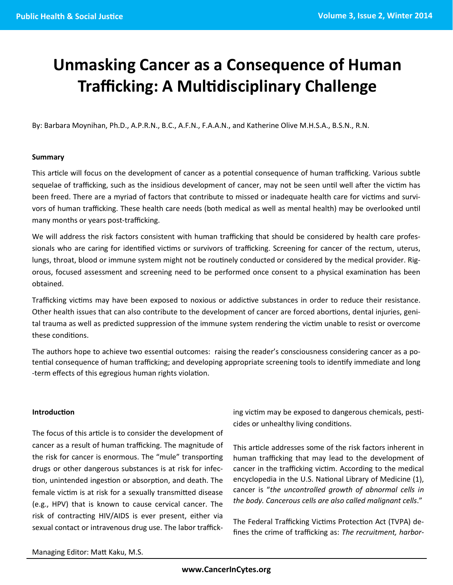# **Unmasking Cancer as a Consequence of Human Trafficking: A Multidisciplinary Challenge**

By: Barbara Moynihan, Ph.D., A.P.R.N., B.C., A.F.N., F.A.A.N., and Katherine Olive M.H.S.A., B.S.N., R.N.

# **Summary**

This article will focus on the development of cancer as a potential consequence of human trafficking. Various subtle sequelae of trafficking, such as the insidious development of cancer, may not be seen until well after the victim has been freed. There are a myriad of factors that contribute to missed or inadequate health care for victims and survivors of human trafficking. These health care needs (both medical as well as mental health) may be overlooked until many months or years post-trafficking.

We will address the risk factors consistent with human trafficking that should be considered by health care professionals who are caring for identified victims or survivors of trafficking. Screening for cancer of the rectum, uterus, lungs, throat, blood or immune system might not be routinely conducted or considered by the medical provider. Rigorous, focused assessment and screening need to be performed once consent to a physical examination has been obtained.

Trafficking victims may have been exposed to noxious or addictive substances in order to reduce their resistance. Other health issues that can also contribute to the development of cancer are forced abortions, dental injuries, genital trauma as well as predicted suppression of the immune system rendering the victim unable to resist or overcome these conditions.

The authors hope to achieve two essential outcomes: raising the reader's consciousness considering cancer as a potential consequence of human trafficking; and developing appropriate screening tools to identify immediate and long -term effects of this egregious human rights violation.

## **Introduction**

The focus of this article is to consider the development of cancer as a result of human trafficking. The magnitude of the risk for cancer is enormous. The "mule" transporting drugs or other dangerous substances is at risk for infection, unintended ingestion or absorption, and death. The female victim is at risk for a sexually transmitted disease (e.g., HPV) that is known to cause cervical cancer. The risk of contracting HIV/AIDS is ever present, either via sexual contact or intravenous drug use. The labor trafficking victim may be exposed to dangerous chemicals, pesticides or unhealthy living conditions.

This article addresses some of the risk factors inherent in human trafficking that may lead to the development of cancer in the trafficking victim. According to the medical encyclopedia in the U.S. National Library of Medicine (1), cancer is "*the uncontrolled growth of abnormal cells in the body. Cancerous cells are also called malignant cells*."

The Federal Trafficking Victims Protection Act (TVPA) defines the crime of trafficking as: *The recruitment, harbor-*

Managing Editor: Matt Kaku, M.S.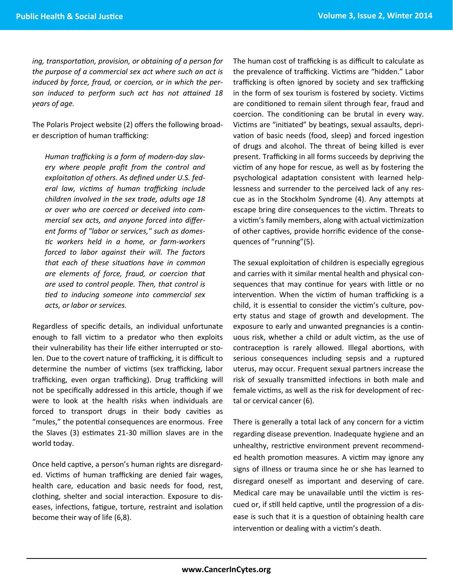*ing, transportation, provision, or obtaining of a person for the purpose of a commercial sex act where such an act is induced by force, fraud, or coercion, or in which the person induced to perform such act has not attained 18 years of age.* 

The Polaris Project website (2) offers the following broader description of human trafficking:

*Human trafficking is a form of modern-day slavery where people profit from the control and exploitation of others. As defined under U.S. federal law, victims of human trafficking include children involved in the sex trade, adults age 18 or over who are coerced or deceived into commercial sex acts, and anyone forced into different forms of "labor or services," such as domestic workers held in a home, or farm-workers forced to labor against their will. The factors that each of these situations have in common are elements of force, fraud, or coercion that are used to control people. Then, that control is tied to inducing someone into commercial sex acts, or labor or services.*

Regardless of specific details, an individual unfortunate enough to fall victim to a predator who then exploits their vulnerability has their life either interrupted or stolen. Due to the covert nature of trafficking, it is difficult to determine the number of victims (sex trafficking, labor trafficking, even organ trafficking). Drug trafficking will not be specifically addressed in this article, though if we were to look at the health risks when individuals are forced to transport drugs in their body cavities as "mules," the potential consequences are enormous. Free the Slaves (3) estimates 21-30 million slaves are in the world today.

Once held captive, a person's human rights are disregarded. Victims of human trafficking are denied fair wages, health care, education and basic needs for food, rest, clothing, shelter and social interaction. Exposure to diseases, infections, fatigue, torture, restraint and isolation become their way of life (6,8).

The human cost of trafficking is as difficult to calculate as the prevalence of trafficking. Victims are "hidden." Labor trafficking is often ignored by society and sex trafficking in the form of sex tourism is fostered by society. Victims are conditioned to remain silent through fear, fraud and coercion. The conditioning can be brutal in every way. Victims are "initiated" by beatings, sexual assaults, deprivation of basic needs (food, sleep) and forced ingestion of drugs and alcohol. The threat of being killed is ever present. Trafficking in all forms succeeds by depriving the victim of any hope for rescue, as well as by fostering the psychological adaptation consistent with learned helplessness and surrender to the perceived lack of any rescue as in the Stockholm Syndrome (4). Any attempts at escape bring dire consequences to the victim. Threats to a victim's family members, along with actual victimization of other captives, provide horrific evidence of the consequences of "running"(5).

The sexual exploitation of children is especially egregious and carries with it similar mental health and physical consequences that may continue for years with little or no intervention. When the victim of human trafficking is a child, it is essential to consider the victim's culture, poverty status and stage of growth and development. The exposure to early and unwanted pregnancies is a continuous risk, whether a child or adult victim, as the use of contraception is rarely allowed. Illegal abortions, with serious consequences including sepsis and a ruptured uterus, may occur. Frequent sexual partners increase the risk of sexually transmitted infections in both male and female victims, as well as the risk for development of rectal or cervical cancer (6).

There is generally a total lack of any concern for a victim regarding disease prevention. Inadequate hygiene and an unhealthy, restrictive environment prevent recommended health promotion measures. A victim may ignore any signs of illness or trauma since he or she has learned to disregard oneself as important and deserving of care. Medical care may be unavailable until the victim is rescued or, if still held captive, until the progression of a disease is such that it is a question of obtaining health care intervention or dealing with a victim's death.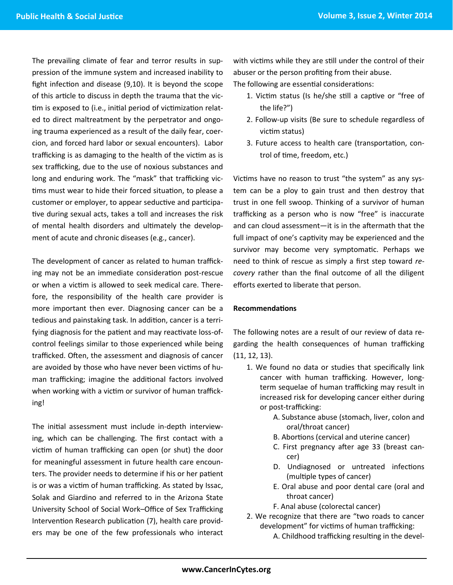The prevailing climate of fear and terror results in suppression of the immune system and increased inability to fight infection and disease (9,10). It is beyond the scope of this article to discuss in depth the trauma that the victim is exposed to (i.e., initial period of victimization related to direct maltreatment by the perpetrator and ongoing trauma experienced as a result of the daily fear, coercion, and forced hard labor or sexual encounters). Labor trafficking is as damaging to the health of the victim as is sex trafficking, due to the use of noxious substances and long and enduring work. The "mask" that trafficking victims must wear to hide their forced situation, to please a customer or employer, to appear seductive and participative during sexual acts, takes a toll and increases the risk of mental health disorders and ultimately the development of acute and chronic diseases (e.g., cancer).

The development of cancer as related to human trafficking may not be an immediate consideration post-rescue or when a victim is allowed to seek medical care. Therefore, the responsibility of the health care provider is more important then ever. Diagnosing cancer can be a tedious and painstaking task. In addition, cancer is a terrifying diagnosis for the patient and may reactivate loss-ofcontrol feelings similar to those experienced while being trafficked. Often, the assessment and diagnosis of cancer are avoided by those who have never been victims of human trafficking; imagine the additional factors involved when working with a victim or survivor of human trafficking!

The initial assessment must include in-depth interviewing, which can be challenging. The first contact with a victim of human trafficking can open (or shut) the door for meaningful assessment in future health care encounters. The provider needs to determine if his or her patient is or was a victim of human trafficking. As stated by Issac, Solak and Giardino and referred to in the Arizona State University School of Social Work–Office of Sex Trafficking Intervention Research publication (7), health care providers may be one of the few professionals who interact with victims while they are still under the control of their abuser or the person profiting from their abuse.

The following are essential considerations:

- 1. Victim status (Is he/she still a captive or "free of the life?")
- 2. Follow-up visits (Be sure to schedule regardless of victim status)
- 3. Future access to health care (transportation, control of time, freedom, etc.)

Victims have no reason to trust "the system" as any system can be a ploy to gain trust and then destroy that trust in one fell swoop. Thinking of a survivor of human trafficking as a person who is now "free" is inaccurate and can cloud assessment—it is in the aftermath that the full impact of one's captivity may be experienced and the survivor may become very symptomatic. Perhaps we need to think of rescue as simply a first step toward *recovery* rather than the final outcome of all the diligent efforts exerted to liberate that person.

## **Recommendations**

The following notes are a result of our review of data regarding the health consequences of human trafficking (11, 12, 13).

- 1. We found no data or studies that specifically link cancer with human trafficking. However, longterm sequelae of human trafficking may result in increased risk for developing cancer either during or post-trafficking:
	- A. Substance abuse (stomach, liver, colon and oral/throat cancer)
	- B. Abortions (cervical and uterine cancer)
	- C. First pregnancy after age 33 (breast cancer)
	- D. Undiagnosed or untreated infections (multiple types of cancer)
	- E. Oral abuse and poor dental care (oral and throat cancer)
	- F. Anal abuse (colorectal cancer)
- 2. We recognize that there are "two roads to cancer development" for victims of human trafficking:
	- A. Childhood trafficking resulting in the devel-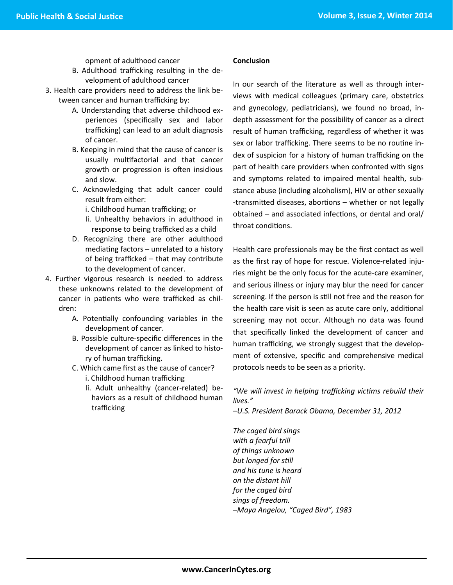opment of adulthood cancer

- B. Adulthood trafficking resulting in the development of adulthood cancer
- 3. Health care providers need to address the link between cancer and human trafficking by:
	- A. Understanding that adverse childhood experiences (specifically sex and labor trafficking) can lead to an adult diagnosis of cancer.
	- B. Keeping in mind that the cause of cancer is usually multifactorial and that cancer growth or progression is often insidious and slow.
	- C. Acknowledging that adult cancer could result from either:
		- i. Childhood human trafficking; or
		- Ii. Unhealthy behaviors in adulthood in response to being trafficked as a child
	- D. Recognizing there are other adulthood mediating factors – unrelated to a history of being trafficked – that may contribute to the development of cancer.
- 4. Further vigorous research is needed to address these unknowns related to the development of cancer in patients who were trafficked as children:
	- A. Potentially confounding variables in the development of cancer.
	- B. Possible culture-specific differences in the development of cancer as linked to history of human trafficking.
	- C. Which came first as the cause of cancer?
		- i. Childhood human trafficking
		- Ii. Adult unhealthy (cancer-related) behaviors as a result of childhood human trafficking

#### **Conclusion**

In our search of the literature as well as through interviews with medical colleagues (primary care, obstetrics and gynecology, pediatricians), we found no broad, indepth assessment for the possibility of cancer as a direct result of human trafficking, regardless of whether it was sex or labor trafficking. There seems to be no routine index of suspicion for a history of human trafficking on the part of health care providers when confronted with signs and symptoms related to impaired mental health, substance abuse (including alcoholism), HIV or other sexually -transmitted diseases, abortions – whether or not legally obtained – and associated infections, or dental and oral/ throat conditions.

Health care professionals may be the first contact as well as the first ray of hope for rescue. Violence-related injuries might be the only focus for the acute-care examiner, and serious illness or injury may blur the need for cancer screening. If the person is still not free and the reason for the health care visit is seen as acute care only, additional screening may not occur. Although no data was found that specifically linked the development of cancer and human trafficking, we strongly suggest that the development of extensive, specific and comprehensive medical protocols needs to be seen as a priority.

*"We will invest in helping trafficking victims rebuild their lives."*

*–U.S. President Barack Obama, December 31, 2012*

*The caged bird sings with a fearful trill of things unknown but longed for still and his tune is heard on the distant hill for the caged bird sings of freedom. –Maya Angelou, "Caged Bird", 1983*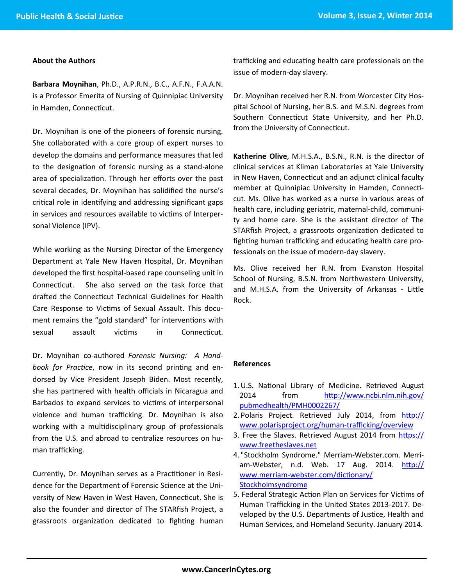# **About the Authors**

**Barbara Moynihan**, Ph.D., A.P.R.N., B.C., A.F.N., F.A.A.N. is a Professor Emerita of Nursing of Quinnipiac University in Hamden, Connecticut.

Dr. Moynihan is one of the pioneers of forensic nursing. She collaborated with a core group of expert nurses to develop the domains and performance measures that led to the designation of forensic nursing as a stand-alone area of specialization. Through her efforts over the past several decades, Dr. Moynihan has solidified the nurse's critical role in identifying and addressing significant gaps in services and resources available to victims of Interpersonal Violence (IPV).

While working as the Nursing Director of the Emergency Department at Yale New Haven Hospital, Dr. Moynihan developed the first hospital-based rape counseling unit in Connecticut. She also served on the task force that drafted the Connecticut Technical Guidelines for Health Care Response to Victims of Sexual Assault. This document remains the "gold standard" for interventions with sexual assault victims in Connecticut.

Dr. Moynihan co-authored *Forensic Nursing: A Handbook for Practice*, now in its second printing and endorsed by Vice President Joseph Biden. Most recently, she has partnered with health officials in Nicaragua and Barbados to expand services to victims of interpersonal violence and human trafficking. Dr. Moynihan is also working with a multidisciplinary group of professionals from the U.S. and abroad to centralize resources on human trafficking.

Currently, Dr. Moynihan serves as a Practitioner in Residence for the Department of Forensic Science at the University of New Haven in West Haven, Connecticut. She is also the founder and director of The STARfish Project, a grassroots organization dedicated to fighting human trafficking and educating health care professionals on the issue of modern-day slavery.

Dr. Moynihan received her R.N. from Worcester City Hospital School of Nursing, her B.S. and M.S.N. degrees from Southern Connecticut State University, and her Ph.D. from the University of Connecticut.

**Katherine Olive**, M.H.S.A., B.S.N., R.N. is the director of clinical services at Kliman Laboratories at Yale University in New Haven, Connecticut and an adjunct clinical faculty member at Quinnipiac University in Hamden, Connecticut. Ms. Olive has worked as a nurse in various areas of health care, including geriatric, maternal-child, community and home care. She is the assistant director of The STARfish Project, a grassroots organization dedicated to fighting human trafficking and educating health care professionals on the issue of modern-day slavery.

Ms. Olive received her R.N. from Evanston Hospital School of Nursing, B.S.N. from Northwestern University, and M.H.S.A. from the University of Arkansas - Little Rock.

# **References**

- 1.U.S. National Library of Medicine. Retrieved August 2014 from [http://www.ncbi.nlm.nih.gov/](http://www.ncbi.nlm.nih.gov/pubmedhealth/PMH0002267/) [pubmedhealth/PMH0002267/](http://www.ncbi.nlm.nih.gov/pubmedhealth/PMH0002267/)
- 2. Polaris Project. Retrieved July 2014, from [http://](http://www.polarisproject.org/human-trafficking/overview) [www.polarisproject.org/human](http://www.polarisproject.org/human-trafficking/overview)-trafficking/overview
- 3. Free the Slaves. Retrieved August 2014 from [https://](https://www.freetheslaves.net) [www.freetheslaves.net](https://www.freetheslaves.net)
- 4. "Stockholm Syndrome." Merriam-Webster.com. Merriam-Webster, n.d. Web. 17 Aug. 2014. [http://](http://www.merriam-webster.com/dictionary/Stockholmsyndrome) www.merriam-[webster.com/dictionary/](http://www.merriam-webster.com/dictionary/Stockholmsyndrome) [Stockholmsyndrome](http://www.merriam-webster.com/dictionary/Stockholmsyndrome)
- 5. Federal Strategic Action Plan on Services for Victims of Human Trafficking in the United States 2013-2017. Developed by the U.S. Departments of Justice, Health and Human Services, and Homeland Security. January 2014.